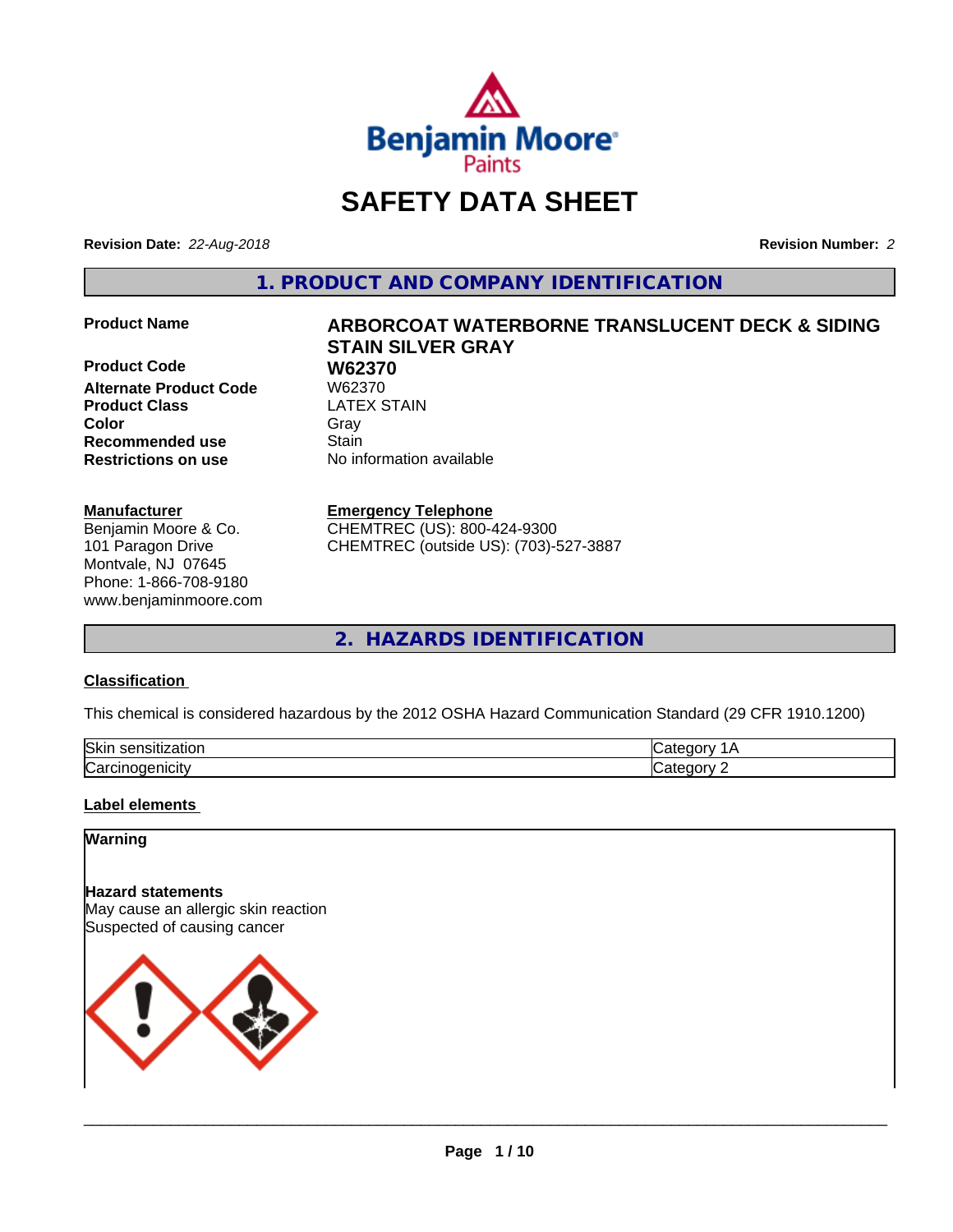

# **SAFETY DATA SHEET**

**Revision Date:** *22-Aug-2018* **Revision Number:** *2*

**1. PRODUCT AND COMPANY IDENTIFICATION**

**Product Code 61 W62370**<br>Alternate Product Code 61862370 **Alternate Product Code Product Class LATEX STAIN Recommended use Stain Restrictions on use** No information available

#### **Manufacturer**

Benjamin Moore & Co. 101 Paragon Drive Montvale, NJ 07645 Phone: 1-866-708-9180 www.benjaminmoore.com

# **Product Name ARBORCOAT WATERBORNE TRANSLUCENT DECK & SIDING STAIN SILVER GRAY Color** Gray Gray

### **Emergency Telephone**

CHEMTREC (US): 800-424-9300 CHEMTREC (outside US): (703)-527-3887

**2. HAZARDS IDENTIFICATION**

# **Classification**

This chemical is considered hazardous by the 2012 OSHA Hazard Communication Standard (29 CFR 1910.1200)

| <b>Ski</b><br>uor<br>- 11 |  |
|---------------------------|--|
| ∽<br>. . аг               |  |

# **Label elements**

# **Warning**

**Hazard statements** May cause an allergic skin reaction Suspected of causing cancer

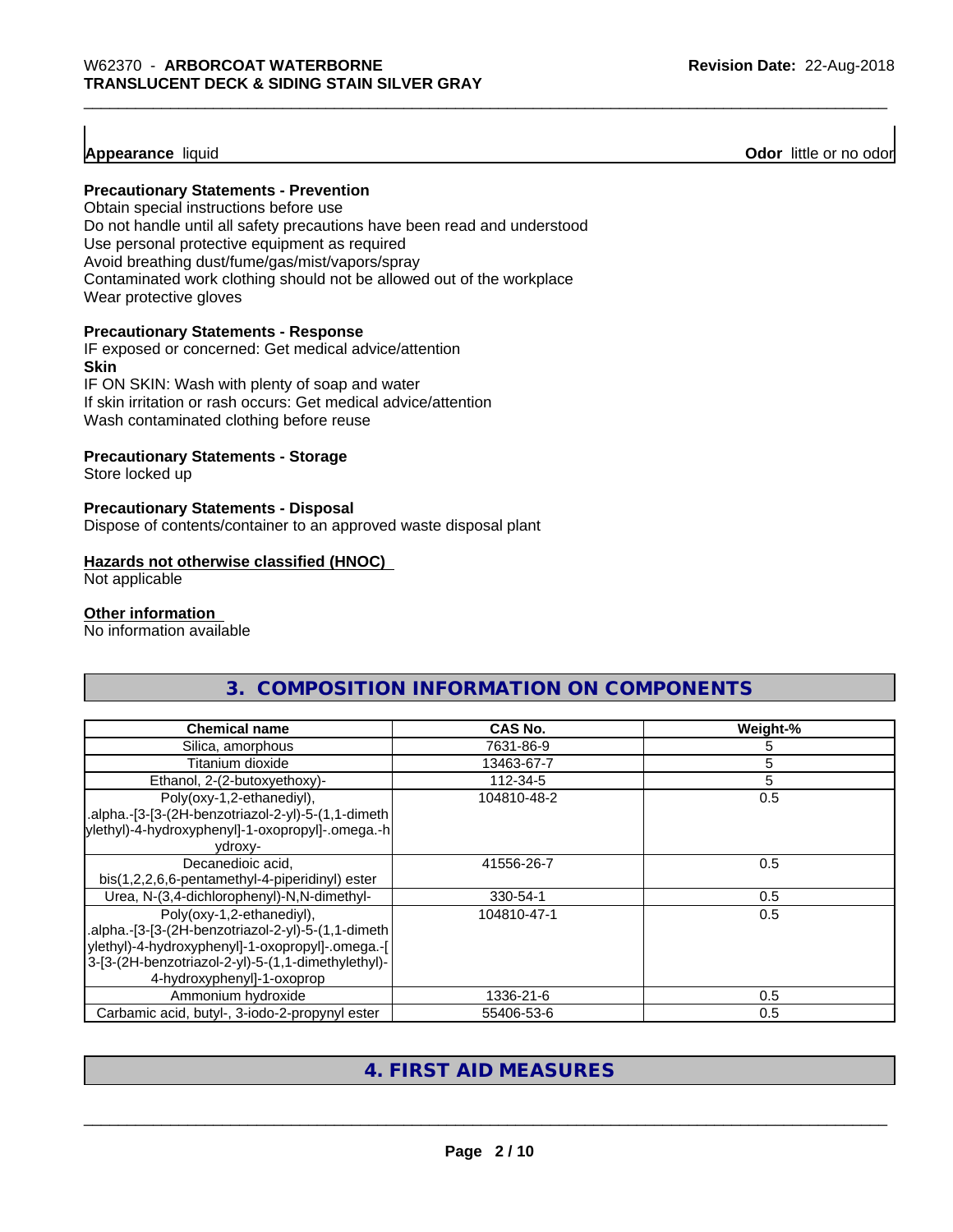**Appearance** liquid **Odor 11 Construction Odor 11 Construction Odor 11 Construction Odor I Construction Odor I Construction Odor I Construction Odor I Construction Odor I Constructio** 

# **Precautionary Statements - Prevention**

Obtain special instructions before use Do not handle until all safety precautions have been read and understood Use personal protective equipment as required Avoid breathing dust/fume/gas/mist/vapors/spray Contaminated work clothing should not be allowed out of the workplace Wear protective gloves

#### **Precautionary Statements - Response**

IF exposed or concerned: Get medical advice/attention **Skin** IF ON SKIN: Wash with plenty of soap and water

If skin irritation or rash occurs: Get medical advice/attention Wash contaminated clothing before reuse

#### **Precautionary Statements - Storage**

Store locked up

# **Precautionary Statements - Disposal**

Dispose of contents/container to an approved waste disposal plant

### **Hazards not otherwise classified (HNOC)**

Not applicable

## **Other information**

No information available

| 3. COMPOSITION INFORMATION ON COMPONENTS                                                                                                                                                                                |             |          |  |
|-------------------------------------------------------------------------------------------------------------------------------------------------------------------------------------------------------------------------|-------------|----------|--|
| <b>Chemical name</b>                                                                                                                                                                                                    | CAS No.     | Weight-% |  |
| Silica, amorphous                                                                                                                                                                                                       | 7631-86-9   | 5        |  |
| Titanium dioxide                                                                                                                                                                                                        | 13463-67-7  | 5        |  |
| Ethanol, 2-(2-butoxyethoxy)-                                                                                                                                                                                            | 112-34-5    | 5        |  |
| Poly(oxy-1,2-ethanediyl),<br>.alpha.-[3-[3-(2H-benzotriazol-2-yl)-5-(1,1-dimeth<br>ylethyl)-4-hydroxyphenyl]-1-oxopropyl]-.omega.-h<br>ydroxy-                                                                          | 104810-48-2 | 0.5      |  |
| Decanedioic acid,<br>bis(1,2,2,6,6-pentamethyl-4-piperidinyl) ester                                                                                                                                                     | 41556-26-7  | 0.5      |  |
| Urea, N-(3,4-dichlorophenyl)-N,N-dimethyl-                                                                                                                                                                              | 330-54-1    | 0.5      |  |
| Poly(oxy-1,2-ethanediyl),<br>.alpha.-[3-[3-(2H-benzotriazol-2-yl)-5-(1,1-dimeth<br>ylethyl)-4-hydroxyphenyl]-1-oxopropyl]-.omega.-[<br>3-[3-(2H-benzotriazol-2-yl)-5-(1,1-dimethylethyl)-<br>4-hydroxyphenyl]-1-oxoprop | 104810-47-1 | 0.5      |  |
| Ammonium hydroxide                                                                                                                                                                                                      | 1336-21-6   | 0.5      |  |

# **4. FIRST AID MEASURES**

Carbamic acid, butyl-, 3-iodo-2-propynyl ester | 55406-53-6 1000-1000 0.5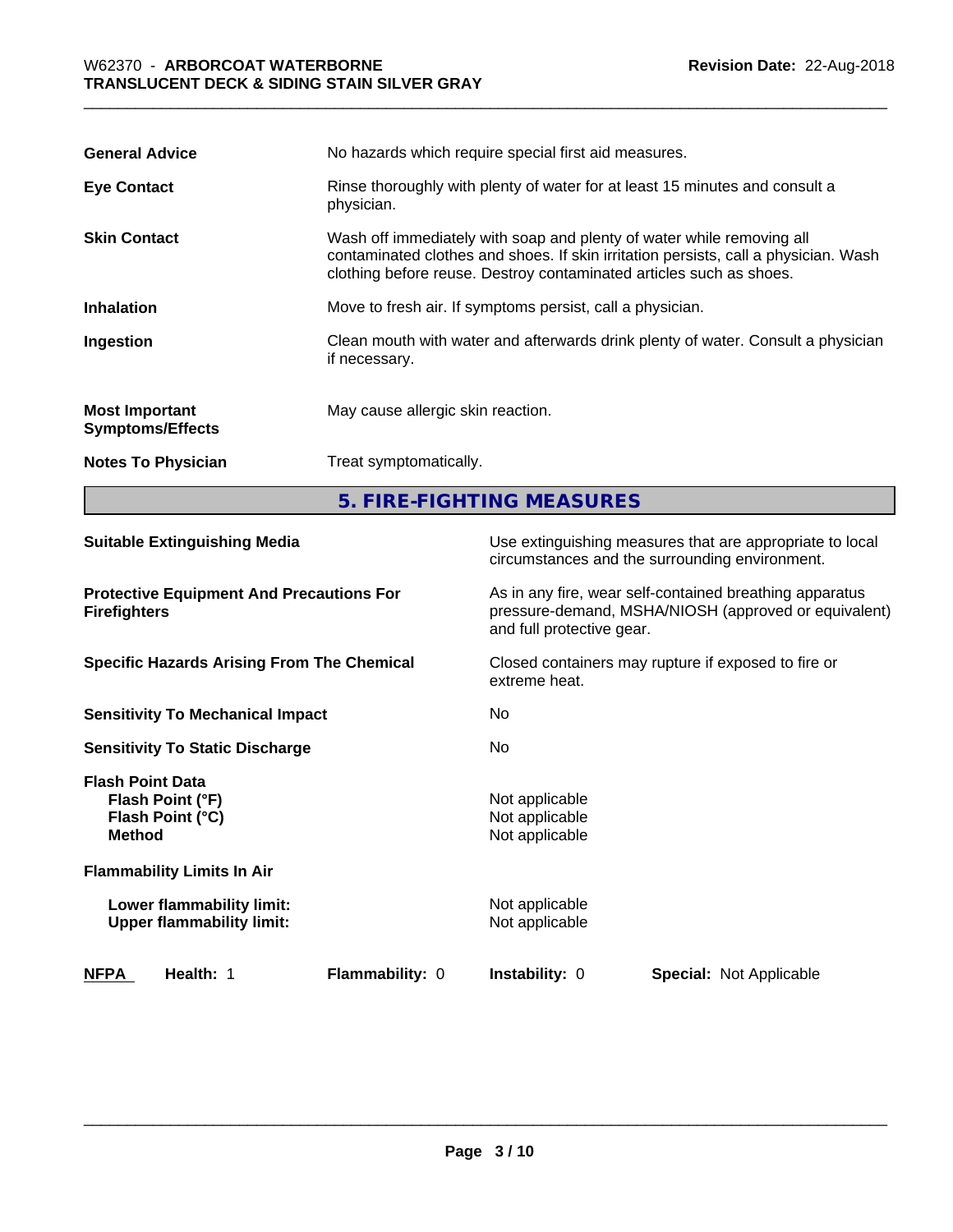|                                                  | 5. FIRE-FIGHTING MEASURES                                                                                                                                                                                                           |  |  |
|--------------------------------------------------|-------------------------------------------------------------------------------------------------------------------------------------------------------------------------------------------------------------------------------------|--|--|
| <b>Notes To Physician</b>                        | Treat symptomatically.                                                                                                                                                                                                              |  |  |
| <b>Most Important</b><br><b>Symptoms/Effects</b> | May cause allergic skin reaction.                                                                                                                                                                                                   |  |  |
| Ingestion                                        | Clean mouth with water and afterwards drink plenty of water. Consult a physician<br>if necessary.                                                                                                                                   |  |  |
| <b>Inhalation</b>                                | Move to fresh air. If symptoms persist, call a physician.                                                                                                                                                                           |  |  |
| <b>Skin Contact</b>                              | Wash off immediately with soap and plenty of water while removing all<br>contaminated clothes and shoes. If skin irritation persists, call a physician. Wash<br>clothing before reuse. Destroy contaminated articles such as shoes. |  |  |
| <b>Eye Contact</b>                               | Rinse thoroughly with plenty of water for at least 15 minutes and consult a<br>physician.                                                                                                                                           |  |  |
| <b>General Advice</b>                            | No hazards which require special first aid measures.                                                                                                                                                                                |  |  |
|                                                  |                                                                                                                                                                                                                                     |  |  |

| <b>Suitable Extinguishing Media</b>                                              | Use extinguishing measures that are appropriate to local<br>circumstances and the surrounding environment.                                   |  |
|----------------------------------------------------------------------------------|----------------------------------------------------------------------------------------------------------------------------------------------|--|
| <b>Protective Equipment And Precautions For</b><br><b>Firefighters</b>           | As in any fire, wear self-contained breathing apparatus<br>pressure-demand, MSHA/NIOSH (approved or equivalent)<br>and full protective gear. |  |
| <b>Specific Hazards Arising From The Chemical</b>                                | Closed containers may rupture if exposed to fire or<br>extreme heat.                                                                         |  |
| <b>Sensitivity To Mechanical Impact</b>                                          | No.                                                                                                                                          |  |
| <b>Sensitivity To Static Discharge</b>                                           | No.                                                                                                                                          |  |
| <b>Flash Point Data</b><br>Flash Point (°F)<br>Flash Point (°C)<br><b>Method</b> | Not applicable<br>Not applicable<br>Not applicable                                                                                           |  |
| <b>Flammability Limits In Air</b>                                                |                                                                                                                                              |  |
| Lower flammability limit:<br><b>Upper flammability limit:</b>                    | Not applicable<br>Not applicable                                                                                                             |  |
| NFPA<br>Health: 1<br><b>Flammability: 0</b>                                      | <b>Instability: 0</b><br><b>Special: Not Applicable</b>                                                                                      |  |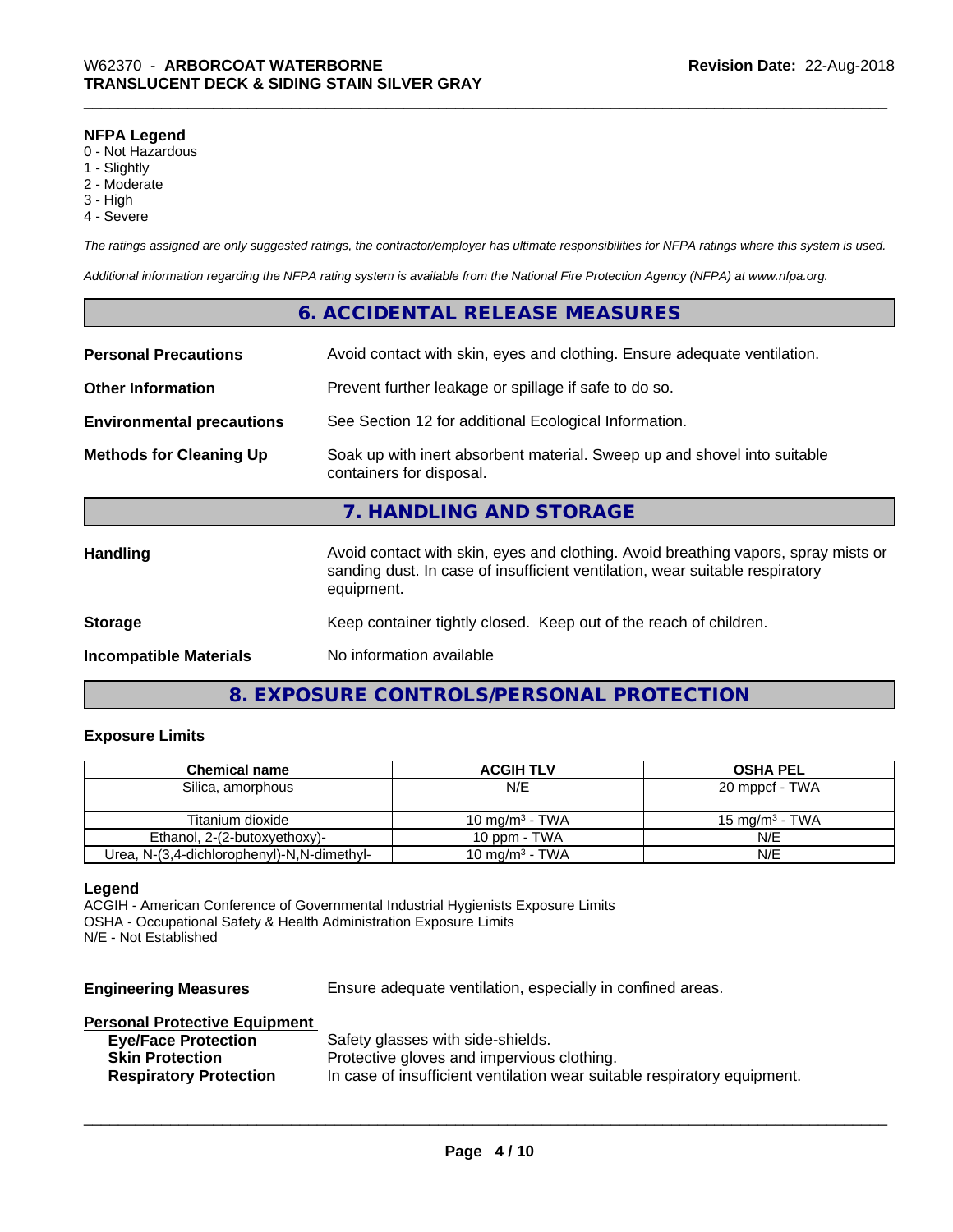#### **NFPA Legend**

- 0 Not Hazardous
- 1 Slightly
- 2 Moderate
- 3 High
- 4 Severe

*The ratings assigned are only suggested ratings, the contractor/employer has ultimate responsibilities for NFPA ratings where this system is used.*

*Additional information regarding the NFPA rating system is available from the National Fire Protection Agency (NFPA) at www.nfpa.org.*

# **6. ACCIDENTAL RELEASE MEASURES**

| <b>Personal Precautions</b>      | Avoid contact with skin, eyes and clothing. Ensure adequate ventilation.                                                                                                         |  |  |  |
|----------------------------------|----------------------------------------------------------------------------------------------------------------------------------------------------------------------------------|--|--|--|
| <b>Other Information</b>         | Prevent further leakage or spillage if safe to do so.                                                                                                                            |  |  |  |
| <b>Environmental precautions</b> | See Section 12 for additional Ecological Information.                                                                                                                            |  |  |  |
| <b>Methods for Cleaning Up</b>   | Soak up with inert absorbent material. Sweep up and shovel into suitable<br>containers for disposal.                                                                             |  |  |  |
|                                  | 7. HANDLING AND STORAGE                                                                                                                                                          |  |  |  |
| <b>Handling</b>                  | Avoid contact with skin, eyes and clothing. Avoid breathing vapors, spray mists or<br>sanding dust. In case of insufficient ventilation, wear suitable respiratory<br>equipment. |  |  |  |
| <b>Storage</b>                   | Keep container tightly closed. Keep out of the reach of children.                                                                                                                |  |  |  |
| <b>Incompatible Materials</b>    | No information available                                                                                                                                                         |  |  |  |

# **8. EXPOSURE CONTROLS/PERSONAL PROTECTION**

# **Exposure Limits**

| <b>Chemical name</b>                       | <b>ACGIH TLV</b>  | <b>OSHA PEL</b>   |
|--------------------------------------------|-------------------|-------------------|
| Silica, amorphous                          | N/E               | 20 mppcf - TWA    |
|                                            |                   |                   |
| Titanium dioxide                           | 10 mg/m $3$ - TWA | 15 mg/m $3$ - TWA |
| Ethanol, 2-(2-butoxyethoxy)-               | 10 ppm - TWA      | N/E               |
| Urea, N-(3,4-dichlorophenyl)-N,N-dimethyl- | 10 mg/m $3$ - TWA | N/E               |

#### **Legend**

ACGIH - American Conference of Governmental Industrial Hygienists Exposure Limits OSHA - Occupational Safety & Health Administration Exposure Limits N/E - Not Established

**Engineering Measures** Ensure adequate ventilation, especially in confined areas.

#### **Personal Protective Equipment**

| <b>Eye/Face Protection</b>    | Safety glasses with side-shields.                                        |
|-------------------------------|--------------------------------------------------------------------------|
| <b>Skin Protection</b>        | Protective gloves and impervious clothing.                               |
| <b>Respiratory Protection</b> | In case of insufficient ventilation wear suitable respiratory equipment. |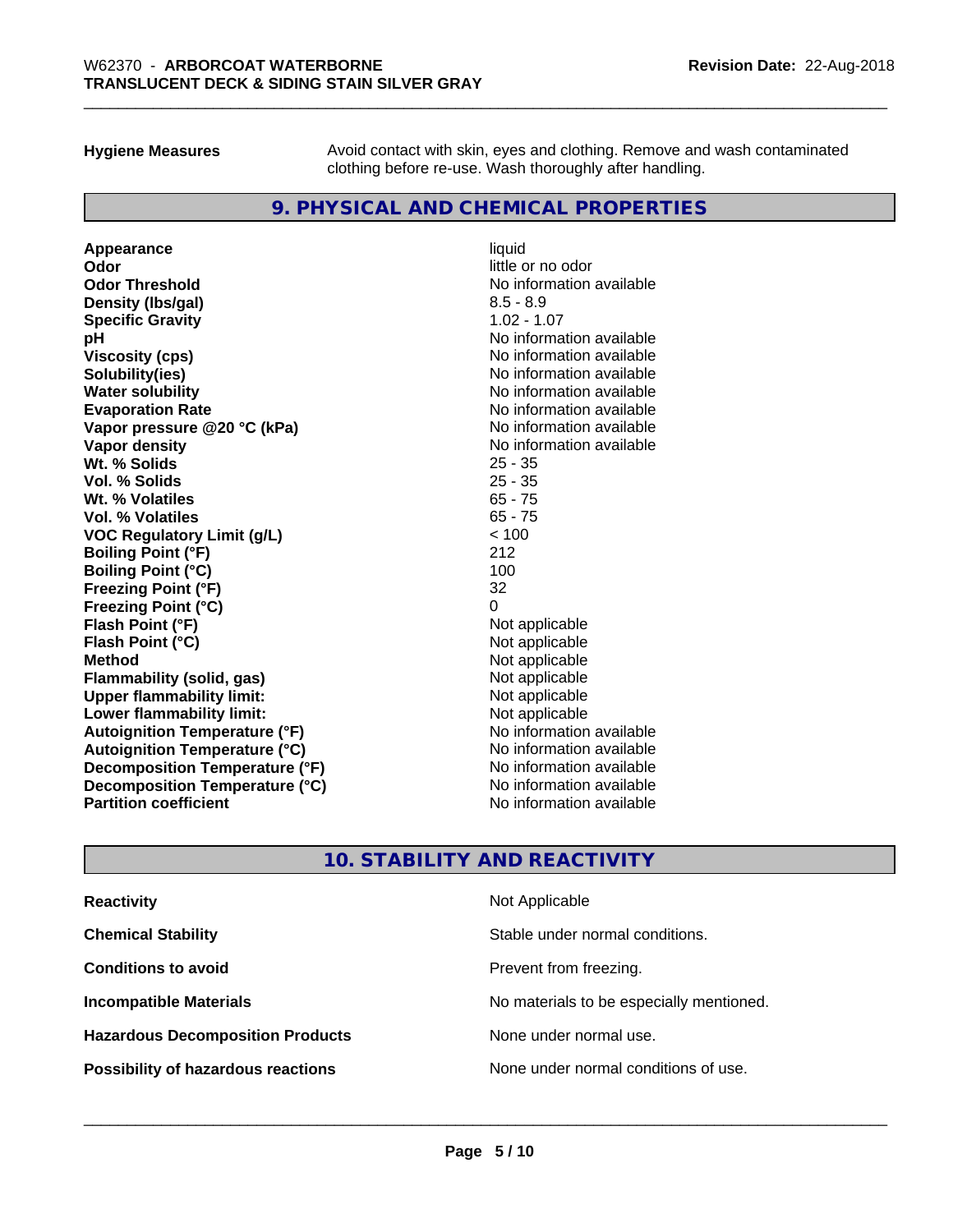**Hygiene Measures** Avoid contact with skin, eyes and clothing. Remove and wash contaminated clothing before re-use. Wash thoroughly after handling.

# **9. PHYSICAL AND CHEMICAL PROPERTIES**

**Appearance** liquid **Odor** little or no odor **Odor Threshold No information available No information available Density (lbs/gal)** 8.5 - 8.9 **Specific Gravity** 1.02 - 1.07 **pH** No information available **Viscosity (cps)** No information available **Solubility(ies)** No information available **Water solubility** No information available **Evaporation Rate Evaporation Rate No information available Vapor pressure @20 °C (kPa)** No information available **Vapor density Vapor density No information available Wt. % Solids** 25 - 35 **Vol. % Solids** 25 - 35 **Wt. % Volatiles** 65 - 75 **Vol. % Volatiles** 65 - 75 **VOC Regulatory Limit (g/L)** < 100 **Boiling Point (°F)** 212 **Boiling Point (°C)** 100 **Freezing Point (°F)** 32 **Freezing Point (°C)** 0 **Flash Point (°F)**<br> **Flash Point (°C)**<br> **Flash Point (°C)**<br> **C Flash Point (°C) Method** Not applicable **Flammability (solid, gas)** Not applicable Not applicable<br>
Upper flammability limit: Not applicable **Upper flammability limit:**<br> **Lower flammability limit:**<br>
Not applicable<br>
Not applicable **Lower flammability limit: Autoignition Temperature (°F)** No information available **Autoignition Temperature (°C)** No information available **Decomposition Temperature (°F)** No information available **Decomposition Temperature (°C)** No information available<br> **Partition coefficient Partition available** 

**No information available** 

# **10. STABILITY AND REACTIVITY**

| <b>Reactivity</b>                         | Not Applicable                           |
|-------------------------------------------|------------------------------------------|
| <b>Chemical Stability</b>                 | Stable under normal conditions.          |
| <b>Conditions to avoid</b>                | Prevent from freezing.                   |
| <b>Incompatible Materials</b>             | No materials to be especially mentioned. |
| <b>Hazardous Decomposition Products</b>   | None under normal use.                   |
| <b>Possibility of hazardous reactions</b> | None under normal conditions of use.     |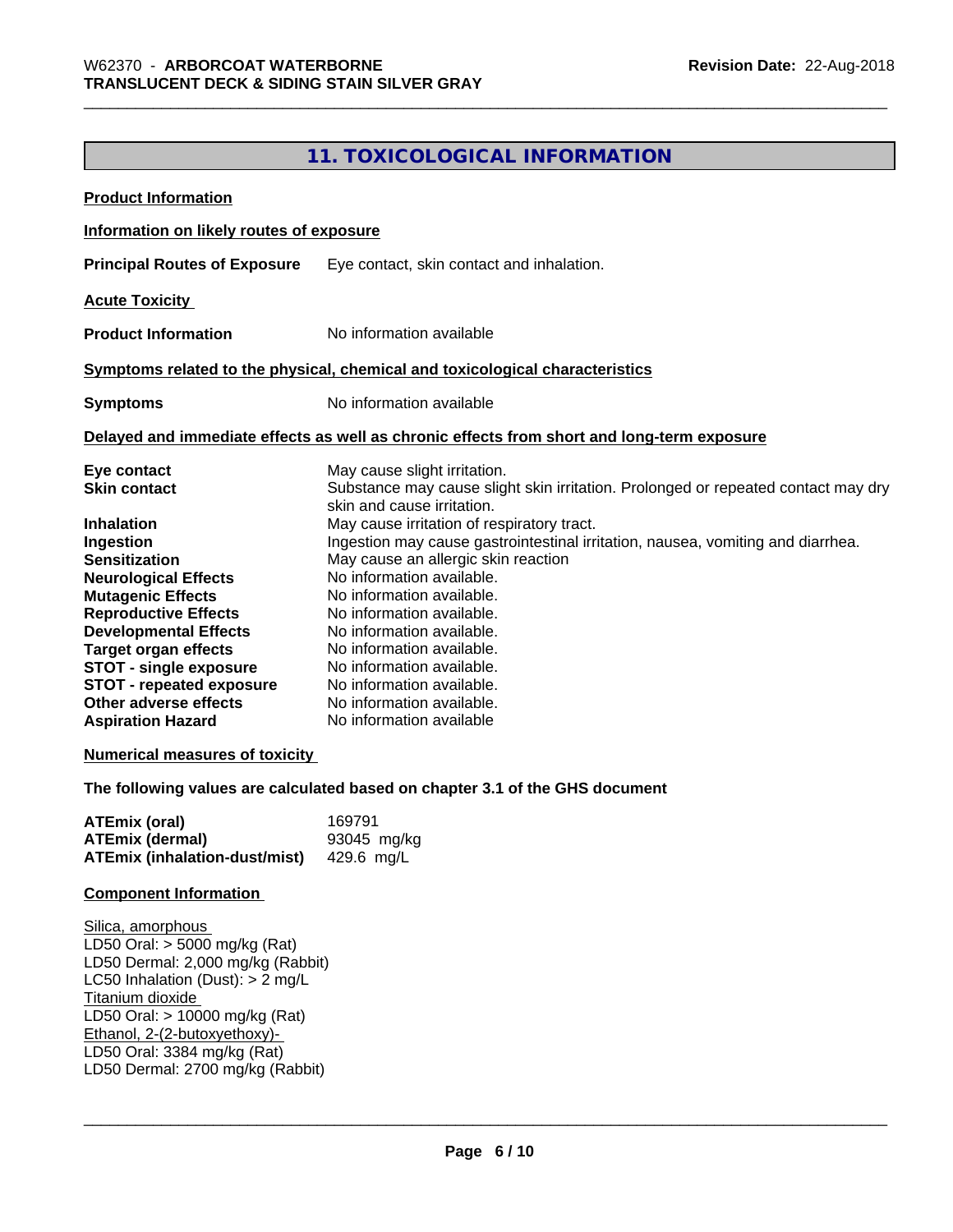# **11. TOXICOLOGICAL INFORMATION**

| <b>Product Information</b>                                                                                                                                                                                                                                                                                                                                                                                              |                                                                                                                                                                                                                                                                                                                                                                                                                                                                                                                                                                                                                                                                             |  |  |  |
|-------------------------------------------------------------------------------------------------------------------------------------------------------------------------------------------------------------------------------------------------------------------------------------------------------------------------------------------------------------------------------------------------------------------------|-----------------------------------------------------------------------------------------------------------------------------------------------------------------------------------------------------------------------------------------------------------------------------------------------------------------------------------------------------------------------------------------------------------------------------------------------------------------------------------------------------------------------------------------------------------------------------------------------------------------------------------------------------------------------------|--|--|--|
| Information on likely routes of exposure                                                                                                                                                                                                                                                                                                                                                                                |                                                                                                                                                                                                                                                                                                                                                                                                                                                                                                                                                                                                                                                                             |  |  |  |
| <b>Principal Routes of Exposure</b>                                                                                                                                                                                                                                                                                                                                                                                     | Eye contact, skin contact and inhalation.                                                                                                                                                                                                                                                                                                                                                                                                                                                                                                                                                                                                                                   |  |  |  |
| <b>Acute Toxicity</b>                                                                                                                                                                                                                                                                                                                                                                                                   |                                                                                                                                                                                                                                                                                                                                                                                                                                                                                                                                                                                                                                                                             |  |  |  |
| <b>Product Information</b>                                                                                                                                                                                                                                                                                                                                                                                              | No information available                                                                                                                                                                                                                                                                                                                                                                                                                                                                                                                                                                                                                                                    |  |  |  |
|                                                                                                                                                                                                                                                                                                                                                                                                                         | Symptoms related to the physical, chemical and toxicological characteristics                                                                                                                                                                                                                                                                                                                                                                                                                                                                                                                                                                                                |  |  |  |
| <b>Symptoms</b>                                                                                                                                                                                                                                                                                                                                                                                                         | No information available                                                                                                                                                                                                                                                                                                                                                                                                                                                                                                                                                                                                                                                    |  |  |  |
|                                                                                                                                                                                                                                                                                                                                                                                                                         | Delayed and immediate effects as well as chronic effects from short and long-term exposure                                                                                                                                                                                                                                                                                                                                                                                                                                                                                                                                                                                  |  |  |  |
| Eye contact<br><b>Skin contact</b><br><b>Inhalation</b><br>Ingestion<br><b>Sensitization</b><br><b>Neurological Effects</b><br><b>Mutagenic Effects</b><br><b>Reproductive Effects</b><br><b>Developmental Effects</b><br><b>Target organ effects</b><br><b>STOT - single exposure</b><br><b>STOT - repeated exposure</b><br>Other adverse effects<br><b>Aspiration Hazard</b><br><b>Numerical measures of toxicity</b> | May cause slight irritation.<br>Substance may cause slight skin irritation. Prolonged or repeated contact may dry<br>skin and cause irritation.<br>May cause irritation of respiratory tract.<br>Ingestion may cause gastrointestinal irritation, nausea, vomiting and diarrhea.<br>May cause an allergic skin reaction<br>No information available.<br>No information available.<br>No information available.<br>No information available.<br>No information available.<br>No information available.<br>No information available.<br>No information available.<br>No information available<br>The following values are calculated based on chapter 3.1 of the GHS document |  |  |  |
| <b>ATEmix (oral)</b><br><b>ATEmix (dermal)</b><br><b>ATEmix (inhalation-dust/mist)</b>                                                                                                                                                                                                                                                                                                                                  | 169791<br>93045 mg/kg<br>429.6 mg/L                                                                                                                                                                                                                                                                                                                                                                                                                                                                                                                                                                                                                                         |  |  |  |
| <b>Component Information</b>                                                                                                                                                                                                                                                                                                                                                                                            |                                                                                                                                                                                                                                                                                                                                                                                                                                                                                                                                                                                                                                                                             |  |  |  |
| Silica, amorphous<br>LD50 Oral: $>$ 5000 mg/kg (Rat)<br>LD50 Dermal: 2,000 mg/kg (Rabbit)<br>LC50 Inhalation (Dust): $> 2$ mg/L<br>Titanium dioxide<br>LD50 Oral: > 10000 mg/kg (Rat)<br>Ethanol, 2-(2-butoxyethoxy)-<br>LD50 Oral: 3384 mg/kg (Rat)<br>LD50 Dermal: 2700 mg/kg (Rabbit)                                                                                                                                |                                                                                                                                                                                                                                                                                                                                                                                                                                                                                                                                                                                                                                                                             |  |  |  |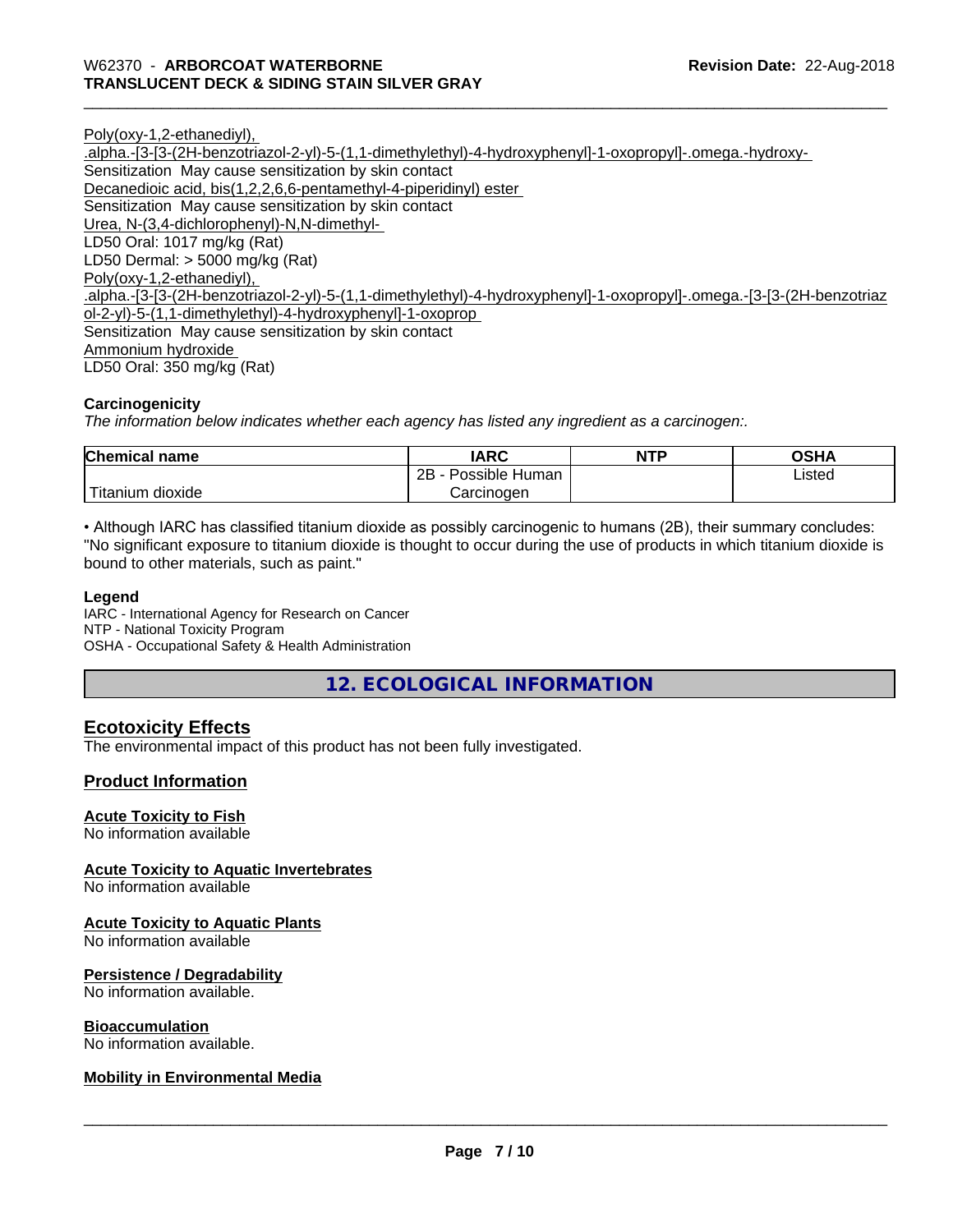#### Poly(oxy-1,2-ethanediyl),

.alpha.-[3-[3-(2H-benzotriazol-2-yl)-5-(1,1-dimethylethyl)-4-hydroxyphenyl]-1-oxopropyl]-.omega.-hydroxy- Sensitization May cause sensitization by skin contact Decanedioic acid, bis(1,2,2,6,6-pentamethyl-4-piperidinyl) ester Sensitization May cause sensitization by skin contact Urea, N-(3,4-dichlorophenyl)-N,N-dimethyl- LD50 Oral: 1017 mg/kg (Rat) LD50 Dermal: > 5000 mg/kg (Rat) Poly(oxy-1,2-ethanediyl), .alpha.-[3-[3-(2H-benzotriazol-2-yl)-5-(1,1-dimethylethyl)-4-hydroxyphenyl]-1-oxopropyl]-.omega.-[3-[3-(2H-benzotriaz ol-2-yl)-5-(1,1-dimethylethyl)-4-hydroxyphenyl]-1-oxoprop Sensitization May cause sensitization by skin contact Ammonium hydroxide LD50 Oral: 350 mg/kg (Rat)

#### **Carcinogenicity**

*The information below indicateswhether each agency has listed any ingredient as a carcinogen:.*

| <b>Chemical</b><br>name | <b>IARC</b>                  | <b>NTP</b> | <b>OCU</b><br>∤חט∪ |
|-------------------------|------------------------------|------------|--------------------|
|                         | .<br>2B<br>Human<br>Possible |            | Listed             |
| .<br>dioxide<br>itanium | Carcinogen                   |            |                    |

• Although IARC has classified titanium dioxide as possibly carcinogenic to humans (2B), their summary concludes: "No significant exposure to titanium dioxide is thought to occur during the use of products in which titanium dioxide is bound to other materials, such as paint."

#### **Legend**

IARC - International Agency for Research on Cancer NTP - National Toxicity Program OSHA - Occupational Safety & Health Administration

**12. ECOLOGICAL INFORMATION**

# **Ecotoxicity Effects**

The environmental impact of this product has not been fully investigated.

# **Product Information**

#### **Acute Toxicity to Fish**

No information available

#### **Acute Toxicity to Aquatic Invertebrates**

No information available

## **Acute Toxicity to Aquatic Plants**

No information available

# **Persistence / Degradability**

No information available.

# **Bioaccumulation**

No information available.

## **Mobility in Environmental Media**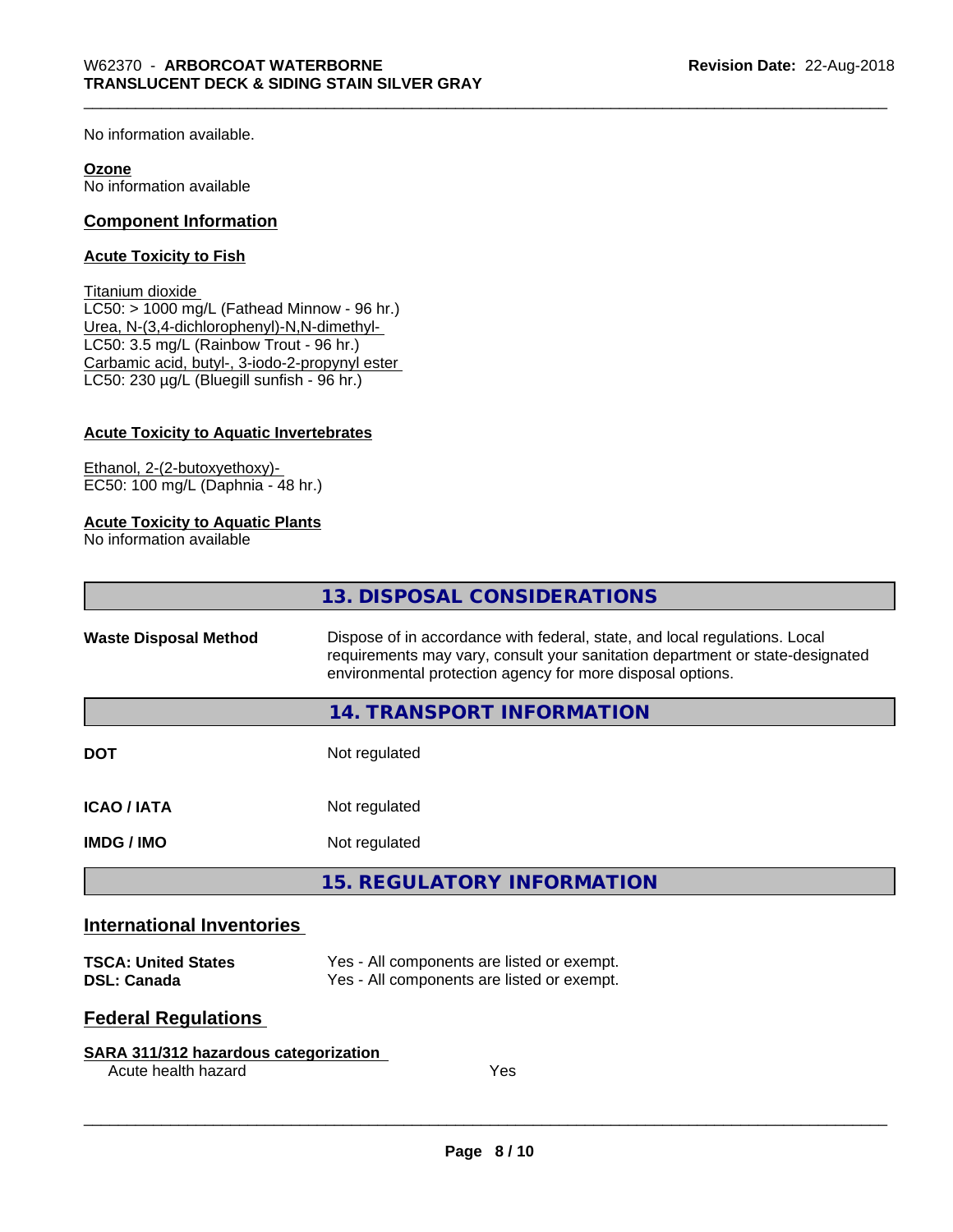No information available.

#### **Ozone**

No information available

# **Component Information**

# **Acute Toxicity to Fish**

Titanium dioxide  $LC50:$  > 1000 mg/L (Fathead Minnow - 96 hr.) Urea, N-(3,4-dichlorophenyl)-N,N-dimethyl- LC50: 3.5 mg/L (Rainbow Trout - 96 hr.) Carbamic acid, butyl-, 3-iodo-2-propynyl ester LC50: 230 µg/L (Bluegill sunfish - 96 hr.)

#### **Acute Toxicity to Aquatic Invertebrates**

Ethanol, 2-(2-butoxyethoxy)- EC50: 100 mg/L (Daphnia - 48 hr.)

## **Acute Toxicity to Aquatic Plants**

No information available

|                                                  | 13. DISPOSAL CONSIDERATIONS                                                                                                                                                                                               |
|--------------------------------------------------|---------------------------------------------------------------------------------------------------------------------------------------------------------------------------------------------------------------------------|
| <b>Waste Disposal Method</b>                     | Dispose of in accordance with federal, state, and local regulations. Local<br>requirements may vary, consult your sanitation department or state-designated<br>environmental protection agency for more disposal options. |
|                                                  | 14. TRANSPORT INFORMATION                                                                                                                                                                                                 |
| <b>DOT</b>                                       | Not regulated                                                                                                                                                                                                             |
| <b>ICAO / IATA</b>                               | Not regulated                                                                                                                                                                                                             |
| <b>IMDG/IMO</b>                                  | Not regulated                                                                                                                                                                                                             |
|                                                  | <b>15. REGULATORY INFORMATION</b>                                                                                                                                                                                         |
| <b>International Inventories</b>                 |                                                                                                                                                                                                                           |
| <b>TSCA: United States</b><br><b>DSL: Canada</b> | Yes - All components are listed or exempt.<br>Yes - All components are listed or exempt.                                                                                                                                  |

# **Federal Regulations**

#### **SARA 311/312 hazardous categorization**

Acute health hazard Yes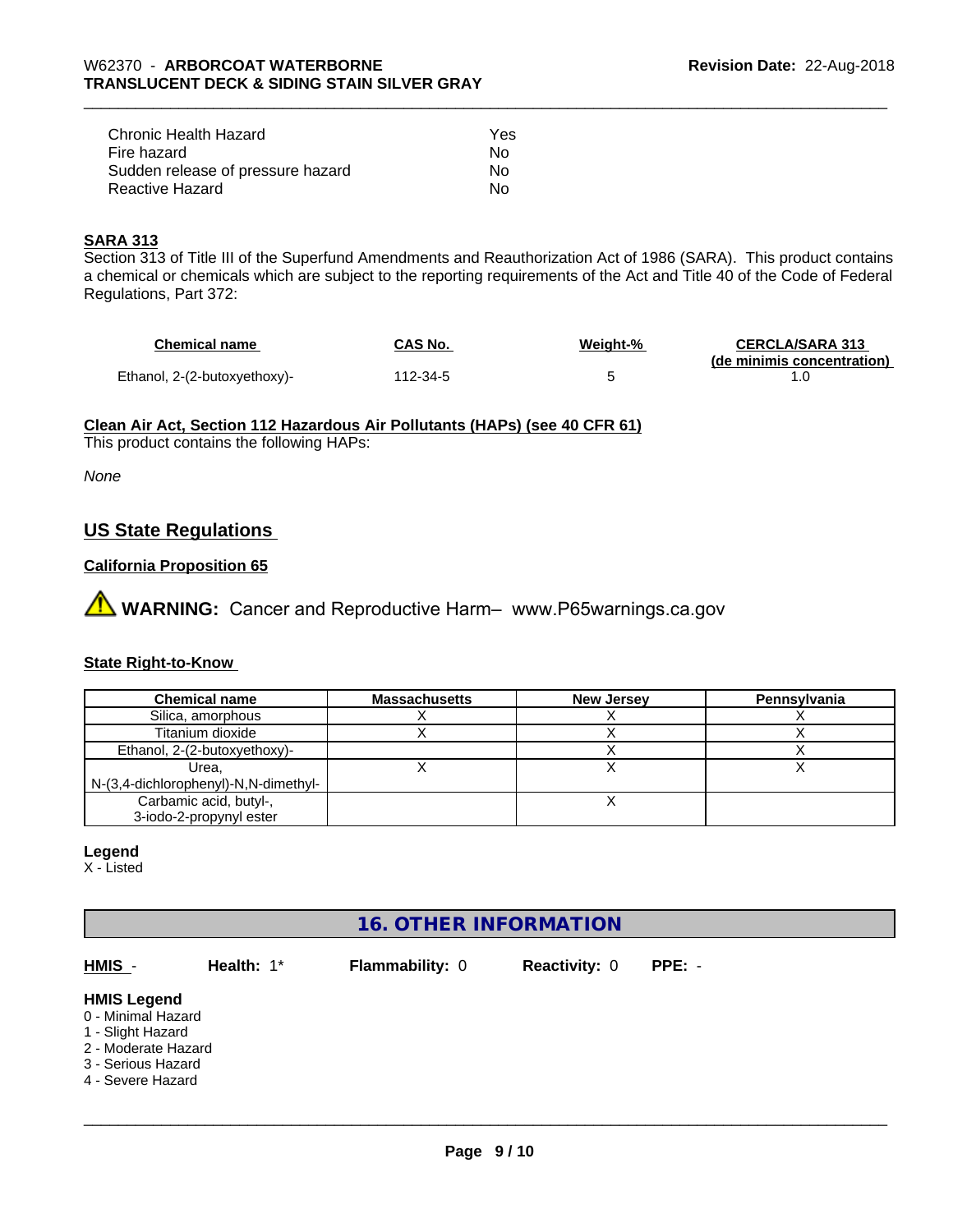| Chronic Health Hazard             | Yes |  |
|-----------------------------------|-----|--|
| Fire hazard                       | N٥  |  |
| Sudden release of pressure hazard | Nο  |  |
| Reactive Hazard                   | N٥  |  |

## **SARA 313**

Section 313 of Title III of the Superfund Amendments and Reauthorization Act of 1986 (SARA). This product contains a chemical or chemicals which are subject to the reporting requirements of the Act and Title 40 of the Code of Federal Regulations, Part 372:

| Chemical name                | CAS No.  | Weight-% | <b>CERCLA/SARA 313</b><br>(de minimis concentration) |
|------------------------------|----------|----------|------------------------------------------------------|
| Ethanol, 2-(2-butoxyethoxy)- | 112-34-5 |          |                                                      |

#### **Clean Air Act,Section 112 Hazardous Air Pollutants (HAPs) (see 40 CFR 61)**

This product contains the following HAPs:

*None*

# **US State Regulations**

# **California Proposition 65**

**AN** WARNING: Cancer and Reproductive Harm– www.P65warnings.ca.gov

# **State Right-to-Know**

| <b>Chemical name</b>                 | <b>Massachusetts</b> | <b>New Jersey</b> | Pennsvlvania |
|--------------------------------------|----------------------|-------------------|--------------|
| Silica, amorphous                    |                      |                   |              |
| Titanium dioxide                     |                      |                   |              |
| Ethanol, 2-(2-butoxyethoxy)-         |                      |                   |              |
| Urea.                                |                      |                   |              |
| N-(3,4-dichlorophenyl)-N,N-dimethyl- |                      |                   |              |
| Carbamic acid, butyl-,               |                      |                   |              |
| 3-iodo-2-propynyl ester              |                      |                   |              |

#### **Legend**

X - Listed

# **16. OTHER INFORMATION**

| <b>HMIS Legend</b><br>0 - Minimal Hazard<br>1 - Slight Hazard<br>2 - Moderate Hazard<br>3 - Serious Hazard | HMIS - | Health: 1* | <b>Flammability: 0</b> | <b>Reactivity: 0</b> | $PPE: -$ |
|------------------------------------------------------------------------------------------------------------|--------|------------|------------------------|----------------------|----------|
| 4 - Severe Hazard                                                                                          |        |            |                        |                      |          |